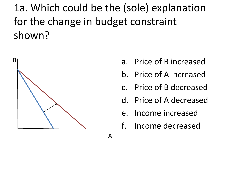1a. Which could be the (sole) explanation for the change in budget constraint shown?



- a. Price of B increased
- b. Price of A increased
- c. Price of B decreased
- d. Price of A decreased
- e. Income increased
- f. Income decreased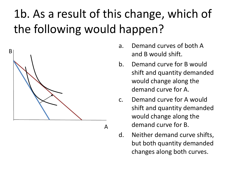# 1b. As a result of this change, which of the following would happen?



- a. Demand curves of both A and B would shift.
- b. Demand curve for B would shift and quantity demanded would change along the demand curve for A.
- c. Demand curve for A would shift and quantity demanded would change along the demand curve for B.
- d. Neither demand curve shifts, but both quantity demanded changes along both curves.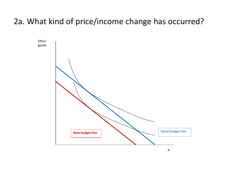## 2a. What kind of price/income change has occurred?

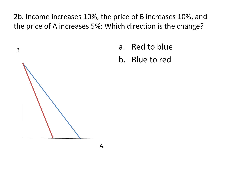2b. Income increases 10%, the price of B increases 10%, and the price of A increases 5%: Which direction is the change?

- a. Red to blue
- b. Blue to red

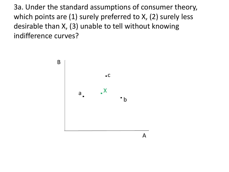3a. Under the standard assumptions of consumer theory, which points are (1) surely preferred to X, (2) surely less desirable than X, (3) unable to tell without knowing indifference curves?

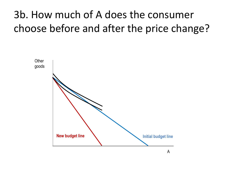# 3b. How much of A does the consumer choose before and after the price change?

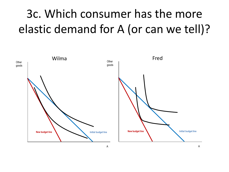# 3c. Which consumer has the more elastic demand for A (or can we tell)?

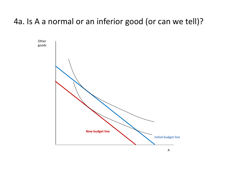### 4a. Is A a normal or an inferior good (or can we tell)?

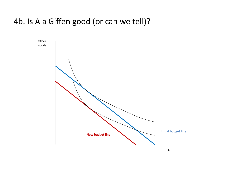### 4b. Is A a Giffen good (or can we tell)?

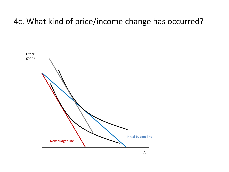#### 4c. What kind of price/income change has occurred?

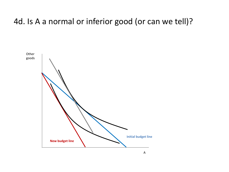#### 4d. Is A a normal or inferior good (or can we tell)?